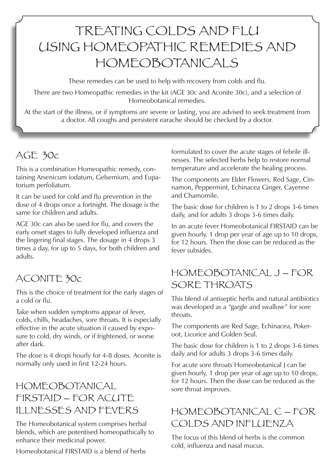# TREATING COLDS AND FLU USING HOMEOPATHIC REMEDIES AND HOMEOBOTANICALS

These remedies can be used to help with recovery from colds and flu.

There are two Homeopathic remedies in the kit (AGE 30c and Aconite 30c), and a selection of Homeobotanical remedies.

At the start of the illness, or if symptoms are severe or lasting, you are advised to seek treatment from a doctor. All coughs and persistent earache should be checked by a doctor.

# AGE 30c

This is a combination Homeopathic remedy, containing Arsenicum iodatum, Gelsemium, and Eupatorium perfoliatum.

It can be used for cold and flu prevention in the dose of 4 drops once a fortnight. The dosage is the same for children and adults.

AGE 30c can also be used for flu, and covers the early onset stages to fully developed influenza and the lingering final stages. The dosage in 4 drops 3 times a day, for up to 5 days, for both children and adults.

# ACONITE 30c

This is the choice of treatment for the early stages of a cold or flu.

Take when sudden symptoms appear of fever, colds, chills, headaches, sore throats. It is especially effective in the acute situation if caused by exposure to cold, dry winds, or if frightened, or worse after dark.

The dose is 4 drops hourly for 4-8 doses. Aconite is normally only used in first 12-24 hours.

# HOMEOBOTANICAL FIRSTAID – FOR ACUTE ILLNESSES AND FEVERS

The Homeobotanical system comprises herbal blends, which are potentised homeopathically to enhance their medicinal power.

Homeobotanical FIRSTAID is a blend of herbs

formulated to cover the acute stages of febrile illnesses. The selected herbs help to restore normal temperature and accelerate the healing process.

The components are Elder Flowers, Red Sage, Cinnamon, Peppermint, Echinacea Ginger, Cayenne and Chamomile.

The basic dose for children is 1 to 2 drops 3-6 times daily, and for adults 3 drops 3-6 times daily.

In an acute fever Homeobotanical FIRSTAID can be given hourly, 1 drop per year of age up to 10 drops, for 12 hours. Then the dose can be reduced as the fever subsides.

### HOMEOBOTANICAL J – FOR SORE THROATS

This blend of antiseptic herbs and natural antibiotics was developed as a "gargle and swallow" for sore throats.

The components are Red Sage, Echinacea, Pokeroot, Licorice and Golden Seal.

The basic dose for children is 1 to 2 drops 3-6 times daily and for adults 3 drops 3-6 times daily.

For acute sore throats Homeobotanical J can be given hourly, 1 drop per year of age up to 10 drops, for 12 hours. Then the dose can be reduced as the sore throat improves.

# HOMEOBOTANICAL C – FOR COLDS AND INFLUENZA

The focus of this blend of herbs is the common cold, influenza and nasal mucus.